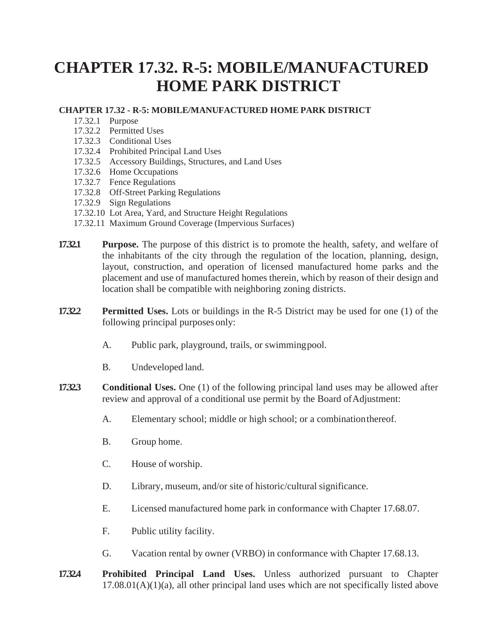## **CHAPTER 17.32. R-5: MOBILE/MANUFACTURED HOME PARK DISTRICT**

## **CHAPTER 17.32 - R-5: MOBILE/MANUFACTURED HOME PARK DISTRICT**

- 17.32.1 Purpose
- 17.32.2 Permitted Uses
- 17.32.3 Conditional Uses
- 17.32.4 Prohibited Principal Land Uses
- 17.32.5 Accessory Buildings, Structures, and Land Uses
- 17.32.6 Home Occupations
- 17.32.7 Fence Regulations
- 17.32.8 Off-Street Parking Regulations
- 17.32.9 Sign Regulations
- 17.32.10 Lot Area, Yard, and Structure Height Regulations
- 17.32.11 Maximum Ground Coverage (Impervious Surfaces)
- **17.32.1 Purpose.** The purpose of this district is to promote the health, safety, and welfare of the inhabitants of the city through the regulation of the location, planning, design, layout, construction, and operation of licensed manufactured home parks and the placement and use of manufactured homes therein, which by reason of their design and location shall be compatible with neighboring zoning districts.
- **17.32.2 Permitted Uses.** Lots or buildings in the R-5 District may be used for one (1) of the following principal purposes only:
	- A. Public park, playground, trails, or swimmingpool.
	- B. Undeveloped land.
- **17.32.3 Conditional Uses.** One (1) of the following principal land uses may be allowed after review and approval of a conditional use permit by the Board of Adjustment:
	- A. Elementary school; middle or high school; or a combinationthereof.
	- B. Group home.
	- C. House of worship.
	- D. Library, museum, and/or site of historic/cultural significance.
	- E. Licensed manufactured home park in conformance with Chapter 17.68.07.
	- F. Public utility facility.
	- G. Vacation rental by owner (VRBO) in conformance with Chapter 17.68.13.
- **17.32.4 Prohibited Principal Land Uses.** Unless authorized pursuant to Chapter  $17.08.01(A)(1)(a)$ , all other principal land uses which are not specifically listed above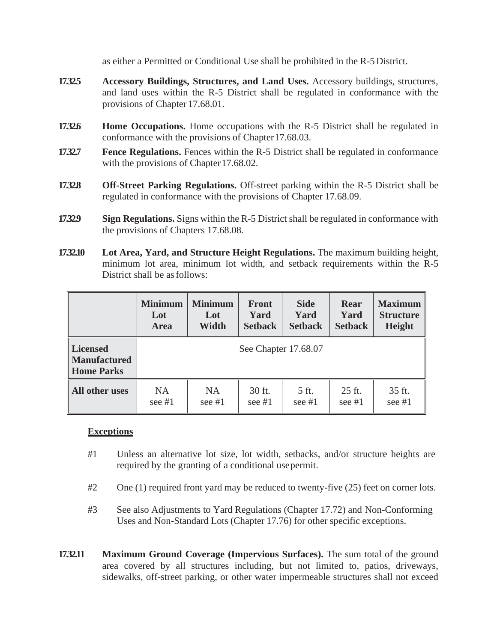as either a Permitted or Conditional Use shall be prohibited in the R-5 District.

- **17.32.5 Accessory Buildings, Structures, and Land Uses.** Accessory buildings, structures, and land uses within the R-5 District shall be regulated in conformance with the provisions of Chapter 17.68.01.
- **17.32.6 Home Occupations.** Home occupations with the R-5 District shall be regulated in conformance with the provisions of Chapter17.68.03.
- **17.32.7 Fence Regulations.** Fences within the R-5 District shall be regulated in conformance with the provisions of Chapter 17.68.02.
- **17.32.8 Off-Street Parking Regulations.** Off-street parking within the R-5 District shall be regulated in conformance with the provisions of Chapter 17.68.09.
- **17.32.9 Sign Regulations.** Signs within the R-5 District shall be regulated in conformance with the provisions of Chapters 17.68.08.
- **17.32.10 Lot Area, Yard, and Structure Height Regulations.** The maximum building height, minimum lot area, minimum lot width, and setback requirements within the R-5 District shall be as follows:

|                                                             | <b>Minimum</b> | <b>Minimum</b> | <b>Front</b>         | <b>Side</b>    | Rear           | <b>Maximum</b>   |
|-------------------------------------------------------------|----------------|----------------|----------------------|----------------|----------------|------------------|
|                                                             | Lot            | Lot            | Yard                 | Yard           | Yard           | <b>Structure</b> |
|                                                             | Area           | Width          | <b>Setback</b>       | <b>Setback</b> | <b>Setback</b> | <b>Height</b>    |
| <b>Licensed</b><br><b>Manufactured</b><br><b>Home Parks</b> |                |                | See Chapter 17.68.07 |                |                |                  |
| All other uses                                              | NA.            | NA             | 30 ft.               | 5 ft.          | 25 ft.         | 35 ft.           |
|                                                             | see $#1$       | see $#1$       | see $#1$             | see $#1$       | see $#1$       | see $#1$         |

## **Exceptions**

- #1 Unless an alternative lot size, lot width, setbacks, and/or structure heights are required by the granting of a conditional usepermit.
- #2 One (1) required front yard may be reduced to twenty-five (25) feet on corner lots.
- #3 See also Adjustments to Yard Regulations (Chapter 17.72) and Non-Conforming Uses and Non-Standard Lots (Chapter 17.76) for other specific exceptions.
- **17.32.11 Maximum Ground Coverage (Impervious Surfaces).** The sum total of the ground area covered by all structures including, but not limited to, patios, driveways, sidewalks, off-street parking, or other water impermeable structures shall not exceed